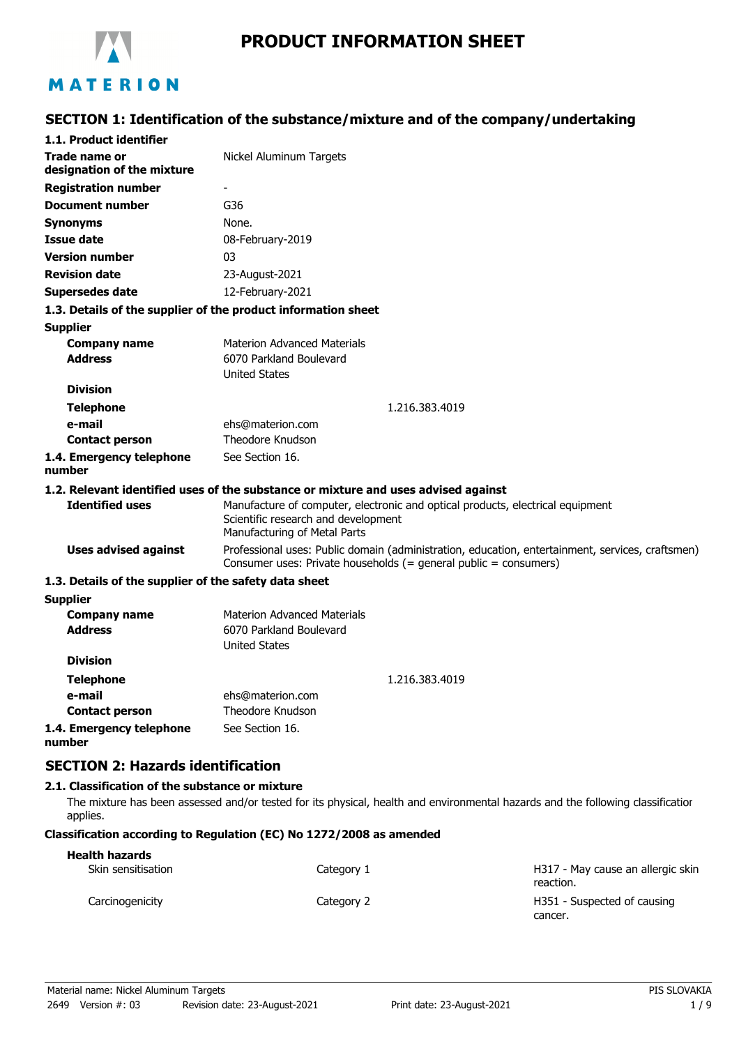

# **PRODUCT INFORMATION SHEET**

# **SECTION 1: Identification of the substance/mixture and of the company/undertaking**

| 1.1. Product identifier                                       |                                                                                                                                                                      |
|---------------------------------------------------------------|----------------------------------------------------------------------------------------------------------------------------------------------------------------------|
| Trade name or<br>designation of the mixture                   | Nickel Aluminum Targets                                                                                                                                              |
| <b>Registration number</b>                                    |                                                                                                                                                                      |
| <b>Document number</b>                                        | G36                                                                                                                                                                  |
| <b>Synonyms</b>                                               | None.                                                                                                                                                                |
| <b>Issue date</b>                                             | 08-February-2019                                                                                                                                                     |
| <b>Version number</b>                                         | 03                                                                                                                                                                   |
| <b>Revision date</b>                                          | 23-August-2021                                                                                                                                                       |
| <b>Supersedes date</b>                                        | 12-February-2021                                                                                                                                                     |
| 1.3. Details of the supplier of the product information sheet |                                                                                                                                                                      |
| <b>Supplier</b>                                               |                                                                                                                                                                      |
| <b>Company name</b>                                           | <b>Materion Advanced Materials</b>                                                                                                                                   |
| <b>Address</b>                                                | 6070 Parkland Boulevard                                                                                                                                              |
|                                                               | <b>United States</b>                                                                                                                                                 |
| <b>Division</b>                                               |                                                                                                                                                                      |
| <b>Telephone</b>                                              | 1.216.383.4019                                                                                                                                                       |
| e-mail                                                        | ehs@materion.com                                                                                                                                                     |
| <b>Contact person</b>                                         | <b>Theodore Knudson</b>                                                                                                                                              |
| 1.4. Emergency telephone<br>number                            | See Section 16.                                                                                                                                                      |
|                                                               | 1.2. Relevant identified uses of the substance or mixture and uses advised against                                                                                   |
| <b>Identified uses</b>                                        | Manufacture of computer, electronic and optical products, electrical equipment<br>Scientific research and development<br>Manufacturing of Metal Parts                |
| <b>Uses advised against</b>                                   | Professional uses: Public domain (administration, education, entertainment, services, craftsmen)<br>Consumer uses: Private households (= general public = consumers) |
| 1.3. Details of the supplier of the safety data sheet         |                                                                                                                                                                      |
| <b>Supplier</b>                                               |                                                                                                                                                                      |
| <b>Company name</b>                                           | <b>Materion Advanced Materials</b>                                                                                                                                   |
| <b>Address</b>                                                | 6070 Parkland Boulevard<br><b>United States</b>                                                                                                                      |
| <b>Division</b>                                               |                                                                                                                                                                      |
| <b>Telephone</b>                                              | 1.216.383.4019                                                                                                                                                       |
| e-mail                                                        | ehs@materion.com                                                                                                                                                     |
| <b>Contact person</b>                                         | <b>Theodore Knudson</b>                                                                                                                                              |
| 1.4. Emergency telephone<br>number                            | See Section 16.                                                                                                                                                      |
| <b>SECTION 2: Hazards identification</b>                      |                                                                                                                                                                      |

#### **2.1. Classification of the substance or mixture**

The mixture has been assessed and/or tested for its physical, health and environmental hazards and the following classification applies.

#### **Classification according to Regulation (EC) No 1272/2008 as amended**

| <b>Health hazards</b> |            |                                                |
|-----------------------|------------|------------------------------------------------|
| Skin sensitisation    | Category 1 | H317 - May cause an allergic skin<br>reaction. |
| Carcinogenicity       | Category 2 | H351 - Suspected of causing<br>cancer.         |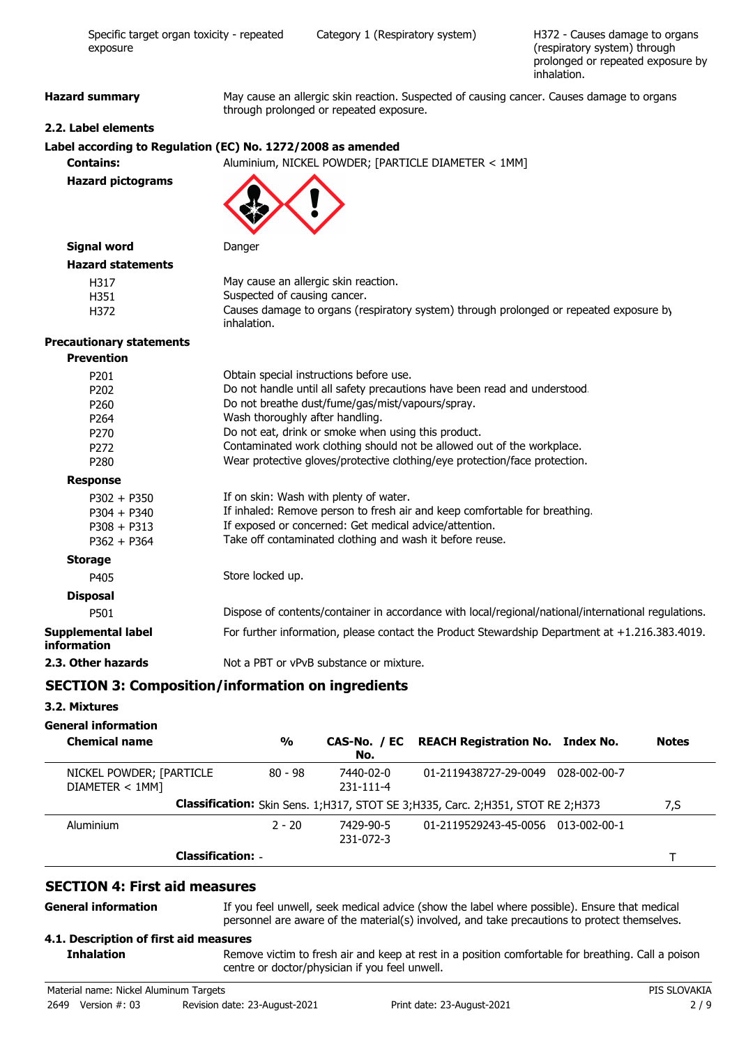| Specific target organ toxicity - repeated<br>exposure       |                              | Category 1 (Respiratory system)                                                                                                      | H372 - Causes damage to organs<br>(respiratory system) through<br>prolonged or repeated exposure by<br>inhalation. |
|-------------------------------------------------------------|------------------------------|--------------------------------------------------------------------------------------------------------------------------------------|--------------------------------------------------------------------------------------------------------------------|
| <b>Hazard summary</b>                                       |                              | May cause an allergic skin reaction. Suspected of causing cancer. Causes damage to organs<br>through prolonged or repeated exposure. |                                                                                                                    |
| 2.2. Label elements                                         |                              |                                                                                                                                      |                                                                                                                    |
| Label according to Regulation (EC) No. 1272/2008 as amended |                              |                                                                                                                                      |                                                                                                                    |
| <b>Contains:</b>                                            |                              | Aluminium, NICKEL POWDER; [PARTICLE DIAMETER < 1MM]                                                                                  |                                                                                                                    |
| <b>Hazard pictograms</b>                                    |                              |                                                                                                                                      |                                                                                                                    |
| <b>Signal word</b>                                          | Danger                       |                                                                                                                                      |                                                                                                                    |
| <b>Hazard statements</b>                                    |                              |                                                                                                                                      |                                                                                                                    |
| H317                                                        |                              | May cause an allergic skin reaction.                                                                                                 |                                                                                                                    |
| H351                                                        | Suspected of causing cancer. |                                                                                                                                      |                                                                                                                    |
| H372                                                        | inhalation.                  | Causes damage to organs (respiratory system) through prolonged or repeated exposure by                                               |                                                                                                                    |
| <b>Precautionary statements</b>                             |                              |                                                                                                                                      |                                                                                                                    |
| <b>Prevention</b>                                           |                              |                                                                                                                                      |                                                                                                                    |
| P201                                                        |                              | Obtain special instructions before use.                                                                                              |                                                                                                                    |
| P202                                                        |                              | Do not handle until all safety precautions have been read and understood.                                                            |                                                                                                                    |
| P260                                                        |                              | Do not breathe dust/fume/gas/mist/vapours/spray.                                                                                     |                                                                                                                    |
| P264                                                        |                              | Wash thoroughly after handling.<br>Do not eat, drink or smoke when using this product.                                               |                                                                                                                    |
| P270<br>P272                                                |                              | Contaminated work clothing should not be allowed out of the workplace.                                                               |                                                                                                                    |
| P280                                                        |                              | Wear protective gloves/protective clothing/eye protection/face protection.                                                           |                                                                                                                    |
| <b>Response</b>                                             |                              |                                                                                                                                      |                                                                                                                    |
| $P302 + P350$                                               |                              | If on skin: Wash with plenty of water.                                                                                               |                                                                                                                    |
| $P304 + P340$                                               |                              | If inhaled: Remove person to fresh air and keep comfortable for breathing.                                                           |                                                                                                                    |
| $P308 + P313$                                               |                              | If exposed or concerned: Get medical advice/attention.                                                                               |                                                                                                                    |
| $P362 + P364$                                               |                              | Take off contaminated clothing and wash it before reuse.                                                                             |                                                                                                                    |
| <b>Storage</b>                                              |                              |                                                                                                                                      |                                                                                                                    |
| P405                                                        | Store locked up.             |                                                                                                                                      |                                                                                                                    |
| <b>Disposal</b>                                             |                              |                                                                                                                                      |                                                                                                                    |
| P501                                                        |                              | Dispose of contents/container in accordance with local/regional/national/international regulations.                                  |                                                                                                                    |
| Supplemental label<br>information                           |                              | For further information, please contact the Product Stewardship Department at +1.216.383.4019.                                       |                                                                                                                    |
| 2.3. Other hazards                                          |                              | Not a PBT or vPvB substance or mixture.                                                                                              |                                                                                                                    |
|                                                             |                              |                                                                                                                                      |                                                                                                                    |

# **SECTION 3: Composition/information on ingredients**

### **3.2. Mixtures**

### **General information**

**General information**

| <b>Chemical name</b>                       | $\frac{0}{0}$ | No.                          | CAS-No. / EC REACH Registration No. Index No.                                       | <b>Notes</b> |
|--------------------------------------------|---------------|------------------------------|-------------------------------------------------------------------------------------|--------------|
| NICKEL POWDER; [PARTICLE<br>DIAMETER < 1MM | 80 - 98       | 7440-02-0<br>$231 - 111 - 4$ | 01-2119438727-29-0049<br>028-002-00-7                                               |              |
|                                            |               |                              | Classification: Skin Sens. 1; H317, STOT SE 3; H335, Carc. 2; H351, STOT RE 2; H373 | 7,S          |
| Aluminium                                  | $2 - 20$      | 7429-90-5<br>231-072-3       | 01-2119529243-45-0056 013-002-00-1                                                  |              |
| <b>Classification: -</b>                   |               |                              |                                                                                     |              |

### **SECTION 4: First aid measures**

If you feel unwell, seek medical advice (show the label where possible). Ensure that medical personnel are aware of the material(s) involved, and take precautions to protect themselves.

#### **4.1. Description of first aid measures**

Remove victim to fresh air and keep at rest in a position comfortable for breathing. Call a poison centre or doctor/physician if you feel unwell. **Inhalation**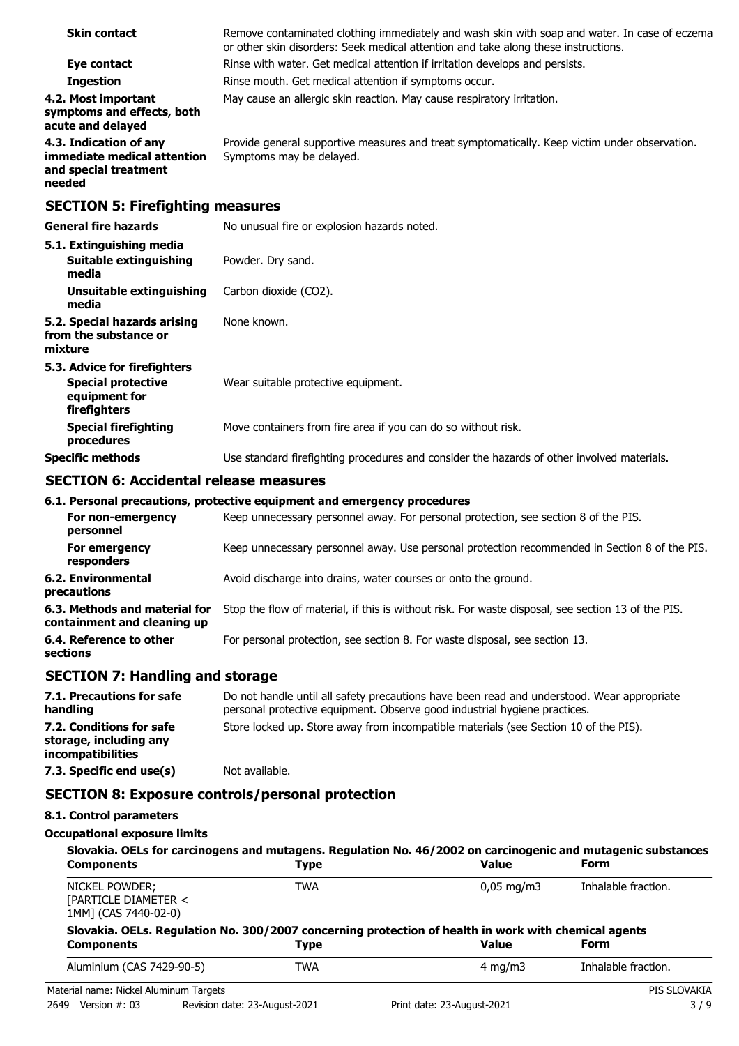| <b>Skin contact</b>                                                                      | Remove contaminated clothing immediately and wash skin with soap and water. In case of eczema<br>or other skin disorders: Seek medical attention and take along these instructions. |
|------------------------------------------------------------------------------------------|-------------------------------------------------------------------------------------------------------------------------------------------------------------------------------------|
| Eye contact                                                                              | Rinse with water. Get medical attention if irritation develops and persists.                                                                                                        |
| <b>Ingestion</b>                                                                         | Rinse mouth. Get medical attention if symptoms occur.                                                                                                                               |
| 4.2. Most important<br>symptoms and effects, both<br>acute and delayed                   | May cause an allergic skin reaction. May cause respiratory irritation.                                                                                                              |
| 4.3. Indication of any<br>immediate medical attention<br>and special treatment<br>needed | Provide general supportive measures and treat symptomatically. Keep victim under observation.<br>Symptoms may be delayed.                                                           |
| <b>SECTION 5: Firefighting measures</b>                                                  |                                                                                                                                                                                     |
| <b>General fire hazards</b>                                                              | No unusual fire or explosion hazards noted.                                                                                                                                         |
| 5.1. Extinguishing media<br><b>Suitable extinguishing</b><br>media                       | Powder. Dry sand.                                                                                                                                                                   |
| Unsuitable extinguishing<br>media                                                        | Carbon dioxide (CO2).                                                                                                                                                               |
| 5.2. Special hazards arising<br>from the substance or<br>mixture                         | None known.                                                                                                                                                                         |
| 5.3. Advice for firefighters                                                             |                                                                                                                                                                                     |
| <b>Special protective</b><br>equipment for<br>firefighters                               | Wear suitable protective equipment.                                                                                                                                                 |
| <b>Special firefighting</b><br>procedures                                                | Move containers from fire area if you can do so without risk.                                                                                                                       |

### **SECTION 6: Accidental release measures**

|                                                              | 6.1. Personal precautions, protective equipment and emergency procedures                           |
|--------------------------------------------------------------|----------------------------------------------------------------------------------------------------|
| For non-emergency<br>personnel                               | Keep unnecessary personnel away. For personal protection, see section 8 of the PIS.                |
| For emergency<br>responders                                  | Keep unnecessary personnel away. Use personal protection recommended in Section 8 of the PIS.      |
| 6.2. Environmental<br>precautions                            | Avoid discharge into drains, water courses or onto the ground.                                     |
| 6.3. Methods and material for<br>containment and cleaning up | Stop the flow of material, if this is without risk. For waste disposal, see section 13 of the PIS. |
| 6.4. Reference to other<br>sections                          | For personal protection, see section 8. For waste disposal, see section 13.                        |

**Specific methods** Use standard firefighting procedures and consider the hazards of other involved materials.

# **SECTION 7: Handling and storage**

| 7.1. Precautions for safe<br>handling                                   | Do not handle until all safety precautions have been read and understood. Wear appropriate<br>personal protective equipment. Observe good industrial hygiene practices. |
|-------------------------------------------------------------------------|-------------------------------------------------------------------------------------------------------------------------------------------------------------------------|
| 7.2. Conditions for safe<br>storage, including any<br>incompatibilities | Store locked up. Store away from incompatible materials (see Section 10 of the PIS).                                                                                    |
| 7.3. Specific end use(s)                                                | Not available.                                                                                                                                                          |

## **SECTION 8: Exposure controls/personal protection**

### **8.1. Control parameters**

#### **Occupational exposure limits**

| <b>Components</b>                                              | Type        | Slovakia. OELs for carcinogens and mutagens. Regulation No. 46/2002 on carcinogenic and mutagenic substances<br><b>Value</b> | Form                |
|----------------------------------------------------------------|-------------|------------------------------------------------------------------------------------------------------------------------------|---------------------|
| NICKEL POWDER;<br>[PARTICLE DIAMETER <<br>1MM] (CAS 7440-02-0) | <b>TWA</b>  | $0.05 \,\mathrm{mg/m}$                                                                                                       | Inhalable fraction. |
|                                                                |             |                                                                                                                              |                     |
| <b>Components</b>                                              | <b>Type</b> | Slovakia. OELs. Regulation No. 300/2007 concerning protection of health in work with chemical agents<br><b>Value</b>         | Form                |
| Aluminium (CAS 7429-90-5)                                      | <b>TWA</b>  | 4 mg/m $3$                                                                                                                   | Inhalable fraction. |
| Material name: Nickel Aluminum Targets                         |             |                                                                                                                              | PIS SLOVAKIA        |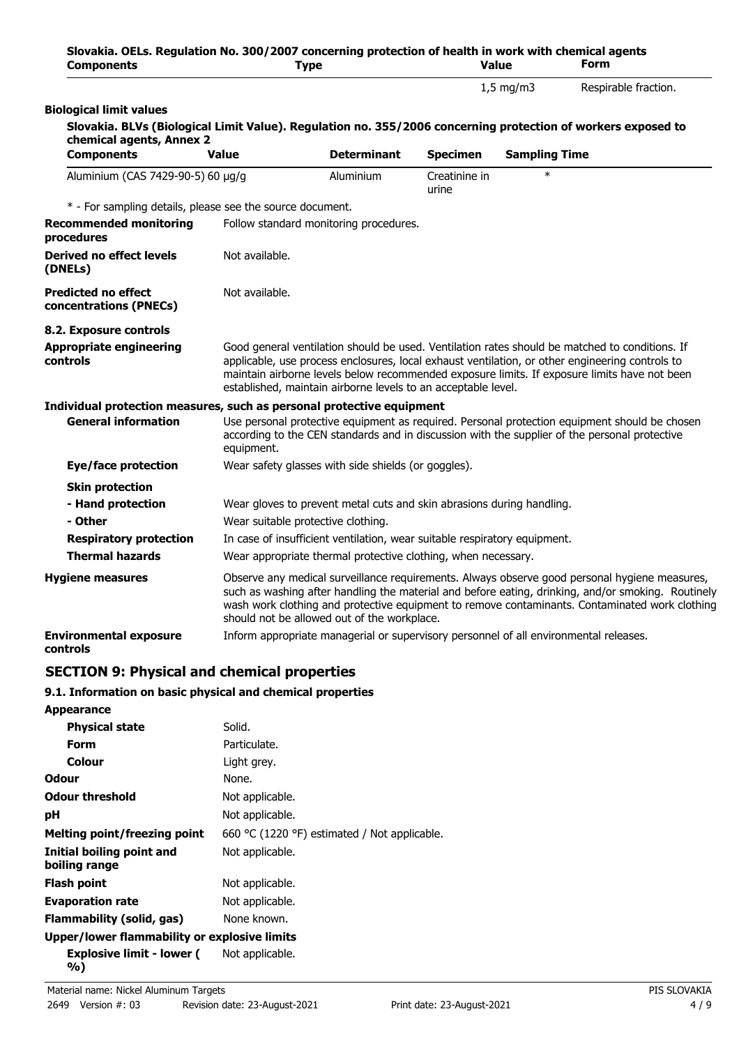| Slovakia. OELs. Regulation No. 300/2007 concerning protection of health in work with chemical agents<br><b>Components</b>                |                                    | <b>Type</b>                                                                           |                        | <b>Value</b>         | <b>Form</b>                                                                                                                                                                                                                                                                                           |
|------------------------------------------------------------------------------------------------------------------------------------------|------------------------------------|---------------------------------------------------------------------------------------|------------------------|----------------------|-------------------------------------------------------------------------------------------------------------------------------------------------------------------------------------------------------------------------------------------------------------------------------------------------------|
|                                                                                                                                          |                                    |                                                                                       |                        | $1,5$ mg/m3          | Respirable fraction.                                                                                                                                                                                                                                                                                  |
| <b>Biological limit values</b>                                                                                                           |                                    |                                                                                       |                        |                      |                                                                                                                                                                                                                                                                                                       |
| Slovakia. BLVs (Biological Limit Value). Regulation no. 355/2006 concerning protection of workers exposed to<br>chemical agents, Annex 2 |                                    |                                                                                       |                        |                      |                                                                                                                                                                                                                                                                                                       |
| <b>Components</b>                                                                                                                        | <b>Value</b>                       | <b>Determinant</b>                                                                    | <b>Specimen</b>        | <b>Sampling Time</b> |                                                                                                                                                                                                                                                                                                       |
| Aluminium (CAS 7429-90-5) 60 µg/g                                                                                                        |                                    | Aluminium                                                                             | Creatinine in<br>urine | $\ast$               |                                                                                                                                                                                                                                                                                                       |
| * - For sampling details, please see the source document.                                                                                |                                    |                                                                                       |                        |                      |                                                                                                                                                                                                                                                                                                       |
| <b>Recommended monitoring</b><br>procedures                                                                                              |                                    | Follow standard monitoring procedures.                                                |                        |                      |                                                                                                                                                                                                                                                                                                       |
| Derived no effect levels<br>(DNELs)                                                                                                      | Not available.                     |                                                                                       |                        |                      |                                                                                                                                                                                                                                                                                                       |
| <b>Predicted no effect</b><br>concentrations (PNECs)                                                                                     | Not available.                     |                                                                                       |                        |                      |                                                                                                                                                                                                                                                                                                       |
| 8.2. Exposure controls                                                                                                                   |                                    |                                                                                       |                        |                      |                                                                                                                                                                                                                                                                                                       |
| <b>Appropriate engineering</b><br>controls                                                                                               |                                    | established, maintain airborne levels to an acceptable level.                         |                        |                      | Good general ventilation should be used. Ventilation rates should be matched to conditions. If<br>applicable, use process enclosures, local exhaust ventilation, or other engineering controls to<br>maintain airborne levels below recommended exposure limits. If exposure limits have not been     |
| Individual protection measures, such as personal protective equipment                                                                    |                                    |                                                                                       |                        |                      |                                                                                                                                                                                                                                                                                                       |
| <b>General information</b>                                                                                                               | equipment.                         |                                                                                       |                        |                      | Use personal protective equipment as required. Personal protection equipment should be chosen<br>according to the CEN standards and in discussion with the supplier of the personal protective                                                                                                        |
| Eye/face protection                                                                                                                      |                                    | Wear safety glasses with side shields (or goggles).                                   |                        |                      |                                                                                                                                                                                                                                                                                                       |
| <b>Skin protection</b>                                                                                                                   |                                    |                                                                                       |                        |                      |                                                                                                                                                                                                                                                                                                       |
| - Hand protection                                                                                                                        |                                    | Wear gloves to prevent metal cuts and skin abrasions during handling.                 |                        |                      |                                                                                                                                                                                                                                                                                                       |
| - Other                                                                                                                                  | Wear suitable protective clothing. |                                                                                       |                        |                      |                                                                                                                                                                                                                                                                                                       |
| <b>Respiratory protection</b>                                                                                                            |                                    | In case of insufficient ventilation, wear suitable respiratory equipment.             |                        |                      |                                                                                                                                                                                                                                                                                                       |
| <b>Thermal hazards</b>                                                                                                                   |                                    | Wear appropriate thermal protective clothing, when necessary.                         |                        |                      |                                                                                                                                                                                                                                                                                                       |
| <b>Hygiene measures</b>                                                                                                                  |                                    | should not be allowed out of the workplace.                                           |                        |                      | Observe any medical surveillance requirements. Always observe good personal hygiene measures,<br>such as washing after handling the material and before eating, drinking, and/or smoking. Routinely<br>wash work clothing and protective equipment to remove contaminants. Contaminated work clothing |
| <b>Environmental exposure</b><br>controls                                                                                                |                                    | Inform appropriate managerial or supervisory personnel of all environmental releases. |                        |                      |                                                                                                                                                                                                                                                                                                       |

# **SECTION 9: Physical and chemical properties**

### **9.1. Information on basic physical and chemical properties**

| <b>Appearance</b>                            |                                              |
|----------------------------------------------|----------------------------------------------|
| <b>Physical state</b>                        | Solid.                                       |
| Form                                         | Particulate.                                 |
| Colour                                       | Light grey.                                  |
| <b>Odour</b>                                 | None.                                        |
| <b>Odour threshold</b>                       | Not applicable.                              |
| рH                                           | Not applicable.                              |
| <b>Melting point/freezing point</b>          | 660 °C (1220 °F) estimated / Not applicable. |
| Initial boiling point and<br>boiling range   | Not applicable.                              |
| Flash point                                  | Not applicable.                              |
| <b>Evaporation rate</b>                      | Not applicable.                              |
| Flammability (solid, gas)                    | None known.                                  |
| Upper/lower flammability or explosive limits |                                              |
| Explosive limit - lower (<br>%)              | Not applicable.                              |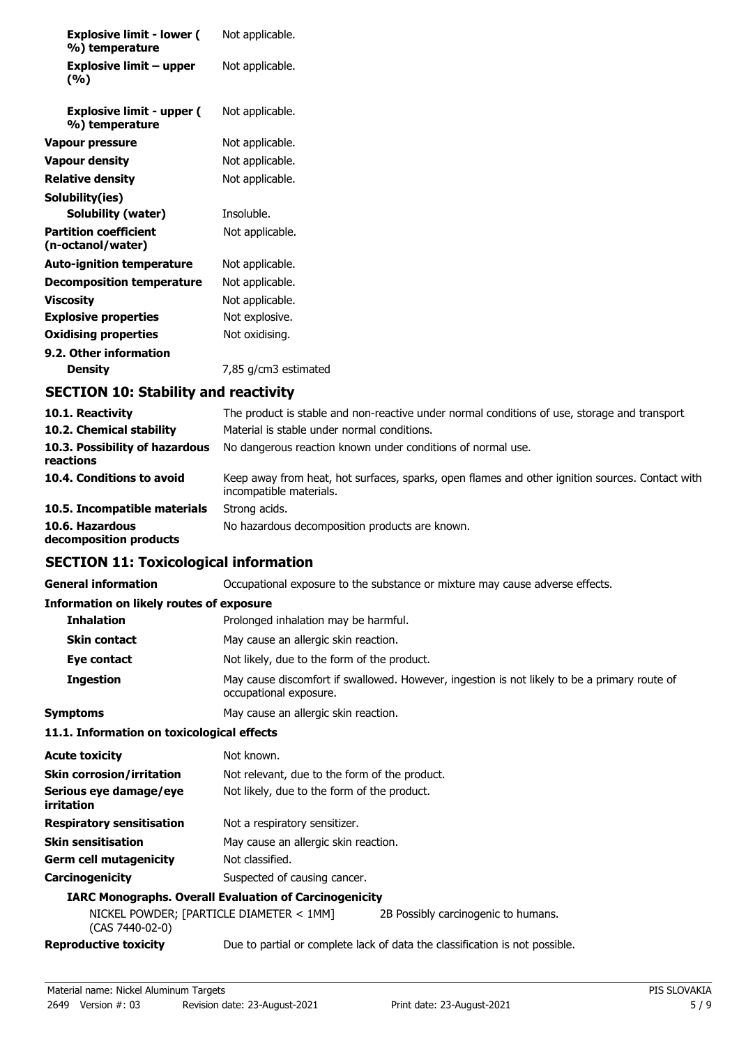| <b>Explosive limit - lower (</b><br>%) temperature | Not applicable.      |
|----------------------------------------------------|----------------------|
| <b>Explosive limit - upper</b><br>(%)              | Not applicable.      |
| <b>Explosive limit - upper (</b><br>%) temperature | Not applicable.      |
| Vapour pressure                                    | Not applicable.      |
| Vapour density                                     | Not applicable.      |
| Relative density                                   | Not applicable.      |
| Solubility(ies)                                    |                      |
| Solubility (water)                                 | Insoluble.           |
| <b>Partition coefficient</b><br>(n-octanol/water)  | Not applicable.      |
| <b>Auto-ignition temperature</b>                   | Not applicable.      |
| <b>Decomposition temperature</b>                   | Not applicable.      |
| Viscosity                                          | Not applicable.      |
| <b>Explosive properties</b>                        | Not explosive.       |
| <b>Oxidising properties</b>                        | Not oxidising.       |
| 9.2. Other information                             |                      |
| <b>Density</b>                                     | 7,85 g/cm3 estimated |

# **SECTION 10: Stability and reactivity**

| 10.1. Reactivity                            | The product is stable and non-reactive under normal conditions of use, storage and transport.                              |
|---------------------------------------------|----------------------------------------------------------------------------------------------------------------------------|
| 10.2. Chemical stability                    | Material is stable under normal conditions.                                                                                |
| 10.3. Possibility of hazardous<br>reactions | No dangerous reaction known under conditions of normal use.                                                                |
| 10.4. Conditions to avoid                   | Keep away from heat, hot surfaces, sparks, open flames and other ignition sources. Contact with<br>incompatible materials. |
| 10.5. Incompatible materials                | Strong acids.                                                                                                              |
| 10.6. Hazardous<br>decomposition products   | No hazardous decomposition products are known.                                                                             |

### **SECTION 11: Toxicological information**

**General information CCCUPATION** Occupational exposure to the substance or mixture may cause adverse effects.

#### **Information on likely routes of exposure**

| <b>Inhalation</b>   | Prolonged inhalation may be harmful.                                                                                   |
|---------------------|------------------------------------------------------------------------------------------------------------------------|
| <b>Skin contact</b> | May cause an allergic skin reaction.                                                                                   |
| Eye contact         | Not likely, due to the form of the product.                                                                            |
| <b>Ingestion</b>    | May cause discomfort if swallowed. However, ingestion is not likely to be a primary route of<br>occupational exposure. |
| <b>Symptoms</b>     | May cause an allergic skin reaction.                                                                                   |

#### **11.1. Information on toxicological effects**

| <b>Acute toxicity</b>                | Not known.                                                    |
|--------------------------------------|---------------------------------------------------------------|
| <b>Skin corrosion/irritation</b>     | Not relevant, due to the form of the product.                 |
| Serious eye damage/eye<br>irritation | Not likely, due to the form of the product.                   |
| <b>Respiratory sensitisation</b>     | Not a respiratory sensitizer.                                 |
| <b>Skin sensitisation</b>            | May cause an allergic skin reaction.                          |
| <b>Germ cell mutagenicity</b>        | Not classified.                                               |
| Carcinogenicity                      | Suspected of causing cancer.                                  |
|                                      | <b>IARC Monographs. Overall Evaluation of Carcinogenicity</b> |

#### **IARC Monographs. Overall Evaluation of Carcinogenicity**

| (CAS 7440-02-0)              | NICKEL POWDER; [PARTICLE DIAMETER < 1MM] |                                                                             |
|------------------------------|------------------------------------------|-----------------------------------------------------------------------------|
| <b>Reproductive toxicity</b> |                                          | Due to partial or complete lack of data the classification is not possible. |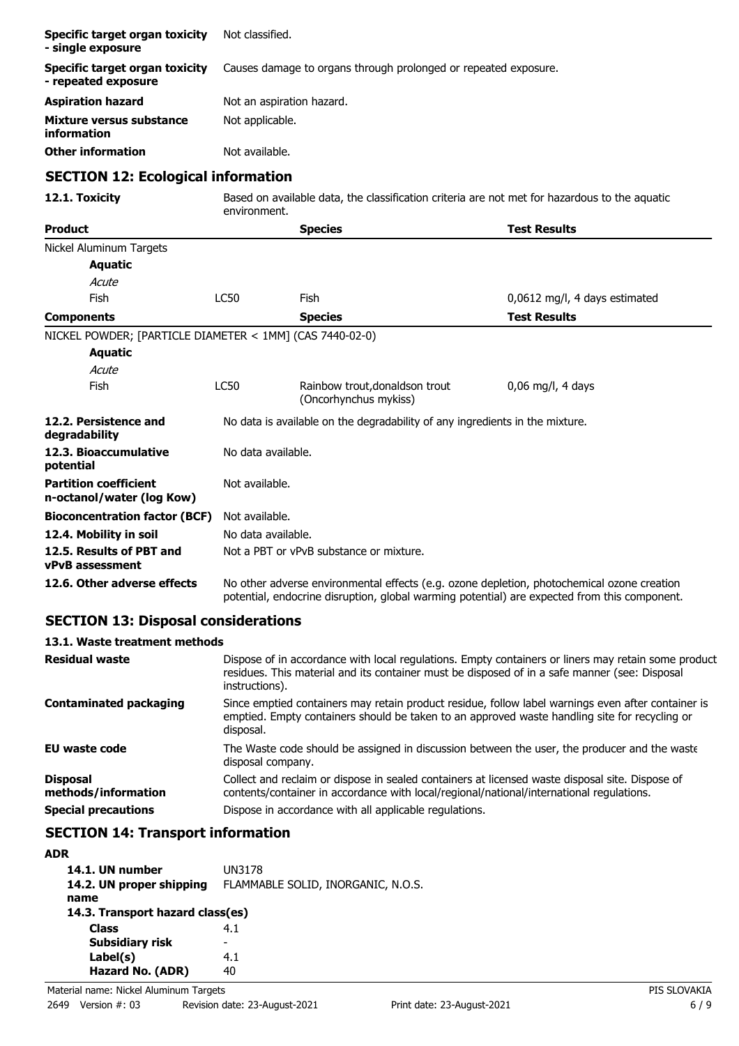| Specific target organ toxicity<br>- single exposure       | Not classified.                                                                                               |                                                                              |                                                                                                                                                                                            |
|-----------------------------------------------------------|---------------------------------------------------------------------------------------------------------------|------------------------------------------------------------------------------|--------------------------------------------------------------------------------------------------------------------------------------------------------------------------------------------|
| Specific target organ toxicity<br>- repeated exposure     |                                                                                                               | Causes damage to organs through prolonged or repeated exposure.              |                                                                                                                                                                                            |
| <b>Aspiration hazard</b>                                  | Not an aspiration hazard.                                                                                     |                                                                              |                                                                                                                                                                                            |
| <b>Mixture versus substance</b><br>information            | Not applicable.                                                                                               |                                                                              |                                                                                                                                                                                            |
| <b>Other information</b>                                  | Not available.                                                                                                |                                                                              |                                                                                                                                                                                            |
| <b>SECTION 12: Ecological information</b>                 |                                                                                                               |                                                                              |                                                                                                                                                                                            |
| 12.1. Toxicity                                            | Based on available data, the classification criteria are not met for hazardous to the aquatic<br>environment. |                                                                              |                                                                                                                                                                                            |
| <b>Product</b>                                            |                                                                                                               | <b>Species</b>                                                               | <b>Test Results</b>                                                                                                                                                                        |
| Nickel Aluminum Targets                                   |                                                                                                               |                                                                              |                                                                                                                                                                                            |
| <b>Aquatic</b>                                            |                                                                                                               |                                                                              |                                                                                                                                                                                            |
| Acute                                                     |                                                                                                               |                                                                              |                                                                                                                                                                                            |
| Fish                                                      | <b>LC50</b>                                                                                                   | Fish                                                                         | 0,0612 mg/l, 4 days estimated                                                                                                                                                              |
| <b>Components</b>                                         |                                                                                                               | <b>Species</b>                                                               | <b>Test Results</b>                                                                                                                                                                        |
| NICKEL POWDER; [PARTICLE DIAMETER < 1MM] (CAS 7440-02-0)  |                                                                                                               |                                                                              |                                                                                                                                                                                            |
| <b>Aquatic</b>                                            |                                                                                                               |                                                                              |                                                                                                                                                                                            |
| Acute                                                     |                                                                                                               |                                                                              |                                                                                                                                                                                            |
| Fish                                                      | <b>LC50</b>                                                                                                   | Rainbow trout, donaldson trout<br>(Oncorhynchus mykiss)                      | 0,06 mg/l, 4 days                                                                                                                                                                          |
| 12.2. Persistence and<br>degradability                    |                                                                                                               | No data is available on the degradability of any ingredients in the mixture. |                                                                                                                                                                                            |
| 12.3. Bioaccumulative<br>potential                        | No data available.                                                                                            |                                                                              |                                                                                                                                                                                            |
| <b>Partition coefficient</b><br>n-octanol/water (log Kow) | Not available.                                                                                                |                                                                              |                                                                                                                                                                                            |
| <b>Bioconcentration factor (BCF)</b>                      | Not available.                                                                                                |                                                                              |                                                                                                                                                                                            |
| 12.4. Mobility in soil                                    |                                                                                                               | No data available.                                                           |                                                                                                                                                                                            |
| 12.5. Results of PBT and<br><b>vPvB</b> assessment        |                                                                                                               | Not a PBT or vPvB substance or mixture.                                      |                                                                                                                                                                                            |
| 12.6. Other adverse effects                               |                                                                                                               |                                                                              | No other adverse environmental effects (e.g. ozone depletion, photochemical ozone creation<br>potential, endocrine disruption, global warming potential) are expected from this component. |

# **SECTION 13: Disposal considerations**

| 13.1. Waste treatment methods |  |
|-------------------------------|--|
|-------------------------------|--|

| <b>Residual waste</b>                  | Dispose of in accordance with local regulations. Empty containers or liners may retain some product<br>residues. This material and its container must be disposed of in a safe manner (see: Disposal<br>instructions). |
|----------------------------------------|------------------------------------------------------------------------------------------------------------------------------------------------------------------------------------------------------------------------|
| <b>Contaminated packaging</b>          | Since emptied containers may retain product residue, follow label warnings even after container is<br>emptied. Empty containers should be taken to an approved waste handling site for recycling or<br>disposal.       |
| <b>EU waste code</b>                   | The Waste code should be assigned in discussion between the user, the producer and the waste<br>disposal company.                                                                                                      |
| <b>Disposal</b><br>methods/information | Collect and reclaim or dispose in sealed containers at licensed waste disposal site. Dispose of<br>contents/container in accordance with local/regional/national/international regulations.                            |
| <b>Special precautions</b>             | Dispose in accordance with all applicable regulations.                                                                                                                                                                 |

# **SECTION 14: Transport information**

# **ADR**

| 14.1. UN number<br>14.2. UN proper shipping<br>name | UN3178<br>FLAMMABLE SOLID, INORGANIC, N.O.S. |  |
|-----------------------------------------------------|----------------------------------------------|--|
| 14.3. Transport hazard class(es)                    |                                              |  |
| <b>Class</b>                                        | 4.1                                          |  |
| Subsidiary risk                                     | -                                            |  |
| Label(s)                                            | 4.1                                          |  |
| Hazard No. (ADR)                                    | 40                                           |  |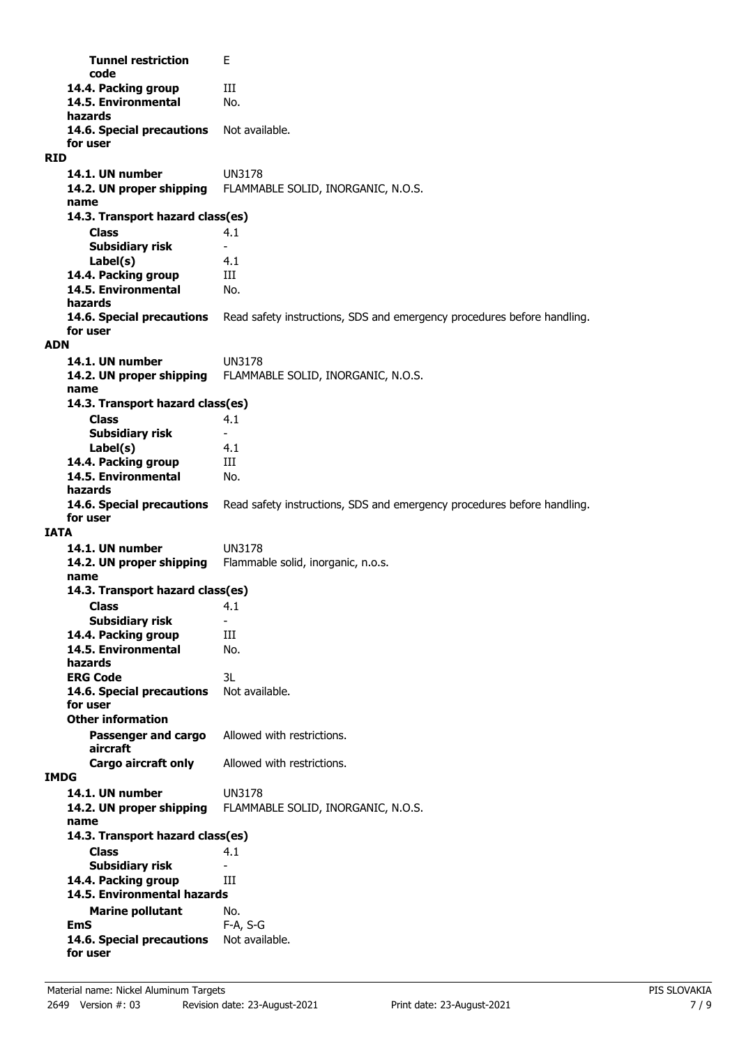**Tunnel restriction** E **code** 14.4. Packing group **III 14.5. Environmental** No. **hazards** 14.6. Special precautions Not available. **for user RID 14.1. UN number** UN3178 **14.2. UN proper shipping** FLAMMABLE SOLID, INORGANIC, N.O.S. **name Class** 4.1 **14.3. Transport hazard class(es) Subsidiary risk Label(s)** 4.1 **14.4. Packing group III 14.5. Environmental** No. **hazards 14.6. Special precautions** Read safety instructions, SDS and emergency procedures before handling. **for user ADN 14.1. UN number** UN3178 **14.2. UN proper shipping** FLAMMABLE SOLID, INORGANIC, N.O.S. **name Class** 4.1 **14.3. Transport hazard class(es) Subsidiary risk Label(s)** 4.1 14.4. Packing group **III 14.5. Environmental** No. **hazards 14.6. Special precautions** Read safety instructions, SDS and emergency procedures before handling. **for user IATA 14.1. UN number** UN3178 **14.2. UN proper shipping** Flammable solid, inorganic, n.o.s. **name Class** 4.1 **14.3. Transport hazard class(es) Subsidiary risk 14.4. Packing group III 14.5. Environmental** No. **hazards ERG Code** 3L 14.6. Special precautions Not available. **for user Passenger and cargo** Allowed with restrictions. **aircraft Other information Cargo aircraft only** Allowed with restrictions. **IMDG 14.1. UN number** UN3178 **14.2. UN proper shipping** FLAMMABLE SOLID, INORGANIC, N.O.S. **name Class** 4.1 **14.3. Transport hazard class(es) Subsidiary risk** 14.4. Packing group **III Marine pollutant** No. **14.5. Environmental hazards EmS** F-A, S-G 14.6. Special precautions Not available. **for user**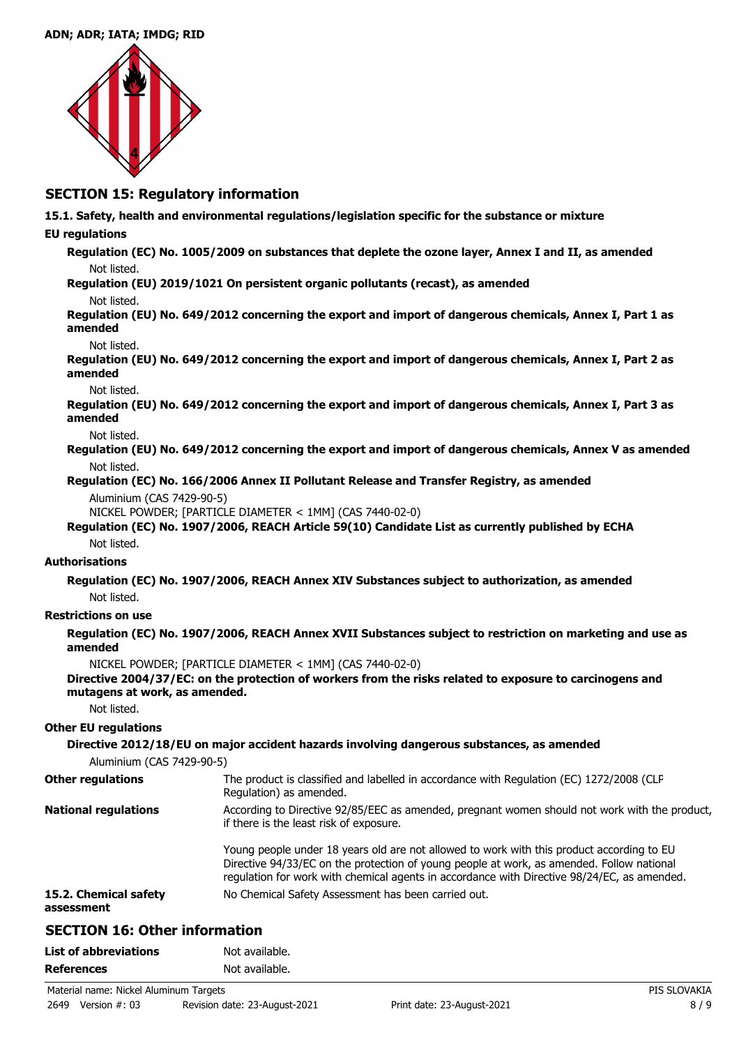

### **SECTION 15: Regulatory information**

**15.1. Safety, health and environmental regulations/legislation specific for the substance or mixture**

### **EU regulations**

**Regulation (EC) No. 1005/2009 on substances that deplete the ozone layer, Annex I and II, as amended** Not listed.

**Regulation (EU) 2019/1021 On persistent organic pollutants (recast), as amended**

#### Not listed.

**Regulation (EU) No. 649/2012 concerning the export and import of dangerous chemicals, Annex I, Part 1 as amended**

#### Not listed.

**Regulation (EU) No. 649/2012 concerning the export and import of dangerous chemicals, Annex I, Part 2 as amended**

#### Not listed.

**Regulation (EU) No. 649/2012 concerning the export and import of dangerous chemicals, Annex I, Part 3 as amended**

Not listed.

**Regulation (EU) No. 649/2012 concerning the export and import of dangerous chemicals, Annex V as amended** Not listed.

**Regulation (EC) No. 166/2006 Annex II Pollutant Release and Transfer Registry, as amended**

Aluminium (CAS 7429-90-5)

NICKEL POWDER; [PARTICLE DIAMETER < 1MM] (CAS 7440-02-0)

**Regulation (EC) No. 1907/2006, REACH Article 59(10) Candidate List as currently published by ECHA** Not listed.

#### **Authorisations**

**Regulation (EC) No. 1907/2006, REACH Annex XIV Substances subject to authorization, as amended** Not listed.

### **Restrictions on use**

**Regulation (EC) No. 1907/2006, REACH Annex XVII Substances subject to restriction on marketing and use as amended**

NICKEL POWDER; [PARTICLE DIAMETER < 1MM] (CAS 7440-02-0)

#### **Directive 2004/37/EC: on the protection of workers from the risks related to exposure to carcinogens and mutagens at work, as amended.**

Not listed.

#### **Other EU regulations**

| Aluminium (CAS 7429-90-5)           | Directive 2012/18/EU on major accident hazards involving dangerous substances, as amended                                                                                                                                                                                             |
|-------------------------------------|---------------------------------------------------------------------------------------------------------------------------------------------------------------------------------------------------------------------------------------------------------------------------------------|
| <b>Other regulations</b>            | The product is classified and labelled in accordance with Regulation (EC) 1272/2008 (CLP<br>Regulation) as amended.                                                                                                                                                                   |
| <b>National regulations</b>         | According to Directive 92/85/EEC as amended, pregnant women should not work with the product,<br>if there is the least risk of exposure.                                                                                                                                              |
|                                     | Young people under 18 years old are not allowed to work with this product according to EU<br>Directive 94/33/EC on the protection of young people at work, as amended. Follow national<br>regulation for work with chemical agents in accordance with Directive 98/24/EC, as amended. |
| 15.2. Chemical safety<br>assessment | No Chemical Safety Assessment has been carried out.                                                                                                                                                                                                                                   |

# **SECTION 16: Other information**

| <b>List of abbreviations</b> | Not available. |
|------------------------------|----------------|
| <b>References</b>            | Not available. |